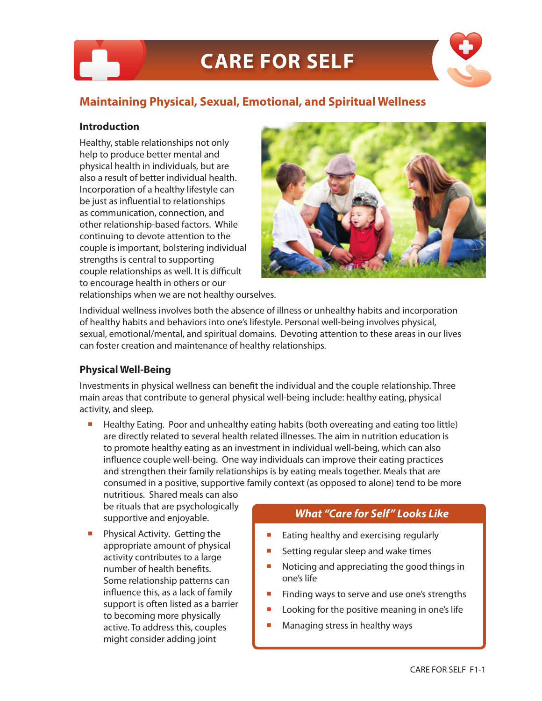# **Maintaining Physical, Sexual, Emotional, and Spiritual Wellness**

### **Introduction**

Healthy, stable relationships not only help to produce better mental and physical health in individuals, but are also a result of better individual health. Incorporation of a healthy lifestyle can be just as influential to relationships as communication, connection, and other relationship-based factors. While continuing to devote attention to the couple is important, bolstering individual strengths is central to supporting couple relationships as well. It is difficult to encourage health in others or our relationships when we are not healthy ourselves.



Individual wellness involves both the absence of illness or unhealthy habits and incorporation of healthy habits and behaviors into one's lifestyle. Personal well-being involves physical, sexual, emotional/mental, and spiritual domains. Devoting attention to these areas in our lives can foster creation and maintenance of healthy relationships.

## **Physical Well-Being**

Investments in physical wellness can benefit the individual and the couple relationship. Three main areas that contribute to general physical well-being include: healthy eating, physical activity, and sleep.

**Healthy Eating. Poor and unhealthy eating habits (both overeating and eating too little)** are directly related to several health related illnesses. The aim in nutrition education is to promote healthy eating as an investment in individual well-being, which can also influence couple well-being. One way individuals can improve their eating practices and strengthen their family relationships is by eating meals together. Meals that are consumed in a positive, supportive family context (as opposed to alone) tend to be more

nutritious. Shared meals can also be rituals that are psychologically supportive and enjoyable.

 Physical Activity. Getting the appropriate amount of physical activity contributes to a large number of health benefits. Some relationship patterns can influence this, as a lack of family support is often listed as a barrier to becoming more physically active. To address this, couples might consider adding joint

## *What "Care for Self" Looks Like*

- Eating healthy and exercising regularly
- Setting regular sleep and wake times
- Noticing and appreciating the good things in one's life
- Finding ways to serve and use one's strengths
- Looking for the positive meaning in one's life
- **Managing stress in healthy ways**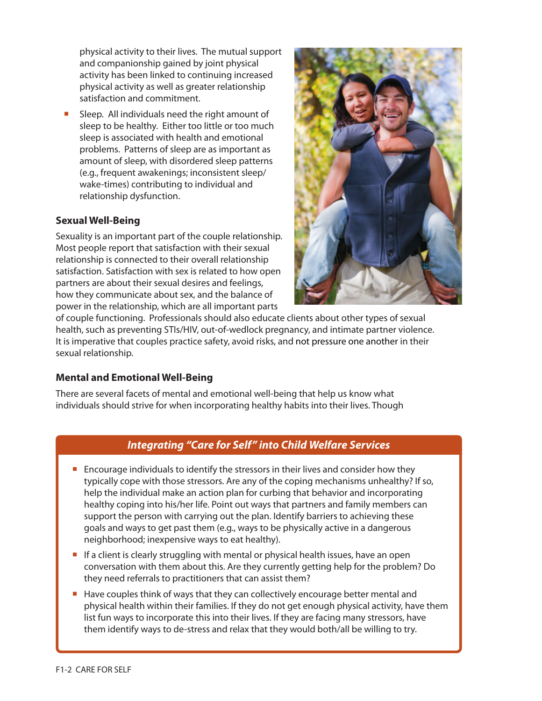physical activity to their lives. The mutual support and companionship gained by joint physical activity has been linked to continuing increased physical activity as well as greater relationship satisfaction and commitment.

 Sleep. All individuals need the right amount of sleep to be healthy. Either too little or too much sleep is associated with health and emotional problems. Patterns of sleep are as important as amount of sleep, with disordered sleep patterns (e.g., frequent awakenings; inconsistent sleep/ wake-times) contributing to individual and relationship dysfunction.

## **Sexual Well-Being**

Sexuality is an important part of the couple relationship. Most people report that satisfaction with their sexual relationship is connected to their overall relationship satisfaction. Satisfaction with sex is related to how open partners are about their sexual desires and feelings, how they communicate about sex, and the balance of power in the relationship, which are all important parts



of couple functioning. Professionals should also educate clients about other types of sexual health, such as preventing STIs/HIV, out-of-wedlock pregnancy, and intimate partner violence. It is imperative that couples practice safety, avoid risks, and not pressure one another in their sexual relationship.

## **Mental and Emotional Well-Being**

There are several facets of mental and emotional well-being that help us know what individuals should strive for when incorporating healthy habits into their lives. Though

## *Integrating "Care for Self" into Child Welfare Services*

- Encourage individuals to identify the stressors in their lives and consider how they typically cope with those stressors. Are any of the coping mechanisms unhealthy? If so, help the individual make an action plan for curbing that behavior and incorporating healthy coping into his/her life. Point out ways that partners and family members can support the person with carrying out the plan. Identify barriers to achieving these goals and ways to get past them (e.g., ways to be physically active in a dangerous neighborhood; inexpensive ways to eat healthy).
- $\blacksquare$  If a client is clearly struggling with mental or physical health issues, have an open conversation with them about this. Are they currently getting help for the problem? Do they need referrals to practitioners that can assist them?
- Have couples think of ways that they can collectively encourage better mental and physical health within their families. If they do not get enough physical activity, have them list fun ways to incorporate this into their lives. If they are facing many stressors, have them identify ways to de-stress and relax that they would both/all be willing to try.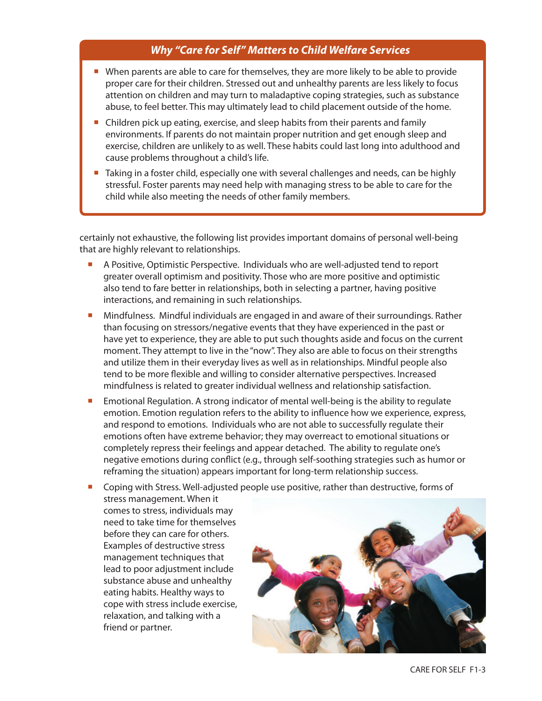## *Why "Care for Self" Matters to Child Welfare Services*

- When parents are able to care for themselves, they are more likely to be able to provide proper care for their children. Stressed out and unhealthy parents are less likely to focus attention on children and may turn to maladaptive coping strategies, such as substance abuse, to feel better. This may ultimately lead to child placement outside of the home.
- **Children pick up eating, exercise, and sleep habits from their parents and family** environments. If parents do not maintain proper nutrition and get enough sleep and exercise, children are unlikely to as well. These habits could last long into adulthood and cause problems throughout a child's life.
- **Taking in a foster child, especially one with several challenges and needs, can be highly** stressful. Foster parents may need help with managing stress to be able to care for the child while also meeting the needs of other family members.

certainly not exhaustive, the following list provides important domains of personal well-being that are highly relevant to relationships.

- A Positive, Optimistic Perspective. Individuals who are well-adjusted tend to report greater overall optimism and positivity. Those who are more positive and optimistic also tend to fare better in relationships, both in selecting a partner, having positive interactions, and remaining in such relationships.
- **Mindfulness. Mindful individuals are engaged in and aware of their surroundings. Rather** than focusing on stressors/negative events that they have experienced in the past or have yet to experience, they are able to put such thoughts aside and focus on the current moment. They attempt to live in the "now". They also are able to focus on their strengths and utilize them in their everyday lives as well as in relationships. Mindful people also tend to be more flexible and willing to consider alternative perspectives. Increased mindfulness is related to greater individual wellness and relationship satisfaction.
- **Emotional Regulation. A strong indicator of mental well-being is the ability to regulate** emotion. Emotion regulation refers to the ability to influence how we experience, express, and respond to emotions. Individuals who are not able to successfully regulate their emotions often have extreme behavior; they may overreact to emotional situations or completely repress their feelings and appear detached. The ability to regulate one's negative emotions during conflict (e.g., through self-soothing strategies such as humor or reframing the situation) appears important for long-term relationship success.
- **Coping with Stress. Well-adjusted people use positive, rather than destructive, forms of**

stress management. When it comes to stress, individuals may need to take time for themselves before they can care for others. Examples of destructive stress management techniques that lead to poor adjustment include substance abuse and unhealthy eating habits. Healthy ways to cope with stress include exercise, relaxation, and talking with a friend or partner.